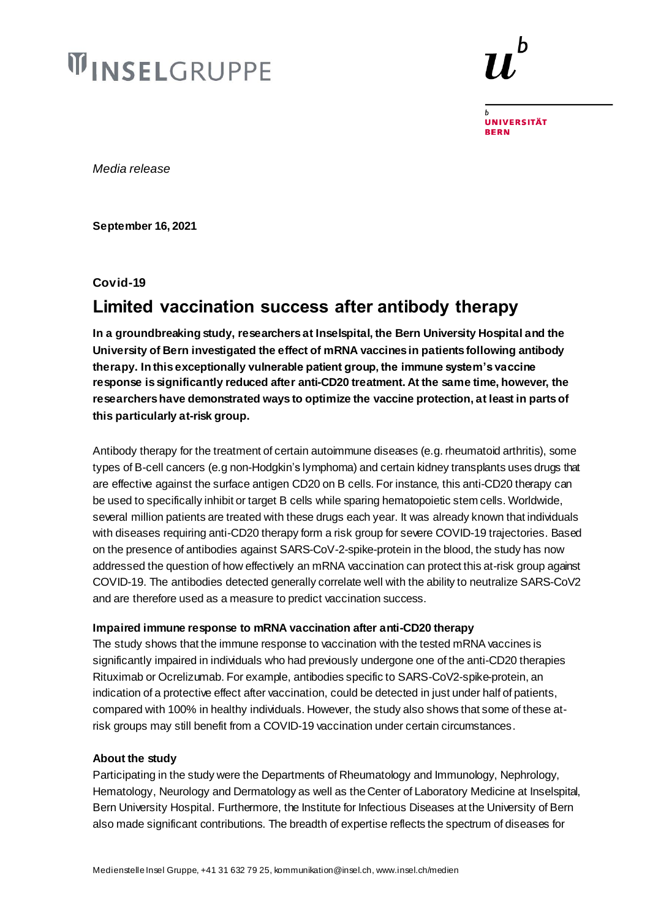# **WINSELGRUPPE**

**UNIVERSITÄT BERN** 

*Media release* 

**September 16, 2021**

**Covid-19**

## **Limited vaccination success after antibody therapy**

**In a groundbreaking study, researchers at Inselspital, the Bern University Hospital and the University of Bern investigated the effect of mRNA vaccines in patients following antibody therapy. In this exceptionally vulnerable patient group, the immune system's vaccine response is significantly reduced after anti-CD20 treatment. At the same time, however, the researchers have demonstrated ways to optimize the vaccine protection, at least in partsof this particularly at-risk group.** 

Antibody therapy for the treatment of certain autoimmune diseases (e.g. rheumatoid arthritis), some types of B-cell cancers (e.g non-Hodgkin's lymphoma) and certain kidney transplants uses drugs that are effective against the surface antigen CD20 on B cells. For instance, this anti-CD20 therapy can be used to specifically inhibit or target B cells while sparing hematopoietic stem cells. Worldwide, several million patients are treated with these drugs each year. It was already known that individuals with diseases requiring anti-CD20 therapy form a risk group for severe COVID-19 trajectories. Based on the presence of antibodies against SARS-CoV-2-spike-protein in the blood, the study has now addressed the question of how effectively an mRNA vaccination can protect this at-risk group against COVID-19. The antibodies detected generally correlate well with the ability to neutralize SARS-CoV2 and are therefore used as a measure to predict vaccination success.

#### **Impaired immune response to mRNA vaccination after anti-CD20 therapy**

The study shows that the immune response to vaccination with the tested mRNA vaccines is significantly impaired in individuals who had previously undergone one of the anti-CD20 therapies Rituximab or Ocrelizumab. For example, antibodies specific to SARS-CoV2-spike-protein, an indication of a protective effect after vaccination, could be detected in just under half of patients, compared with 100% in healthy individuals. However, the study also shows that some of these atrisk groups may still benefit from a COVID-19 vaccination under certain circumstances.

#### **About the study**

Participating in the study were the Departments of Rheumatology and Immunology, Nephrology, Hematology, Neurology and Dermatology as well as the Center of Laboratory Medicine at Inselspital, Bern University Hospital. Furthermore, the Institute for Infectious Diseases at the University of Bern also made significant contributions. The breadth of expertise reflects the spectrum of diseases for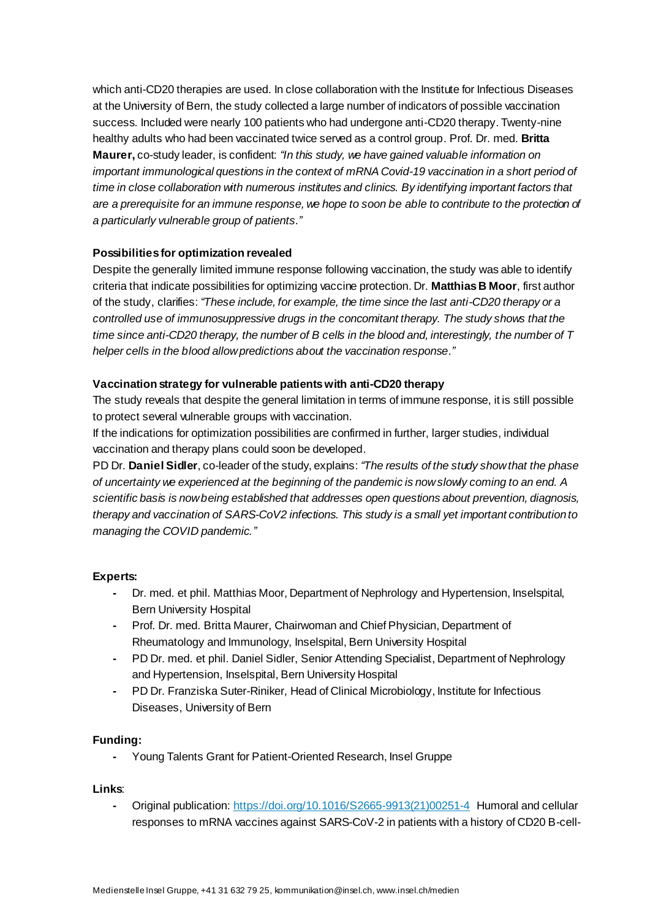which anti-CD20 therapies are used. In close collaboration with the Institute for Infectious Diseases at the University of Bern, the study collected a large number of indicators of possible vaccination success. Included were nearly 100 patients who had undergone anti-CD20 therapy. Twenty-nine healthy adults who had been vaccinated twice served as a control group. Prof. Dr. med. **Britta Maurer,** co-study leader, is confident: *"In this study, we have gained valuable information on important immunological questions in the context of mRNA Covid-19 vaccination in a short period of time in close collaboration with numerous institutes and clinics. By identifying important factors that are a prerequisite for an immune response, we hope to soon be able to contribute to the protection of a particularly vulnerable group of patients."*

### **Possibilities for optimization revealed**

Despite the generally limited immune response following vaccination, the study was able to identify criteria that indicate possibilities for optimizing vaccine protection. Dr. **Matthias B Moor**, first author of the study, clarifies: *"These include, for example, the time since the last anti-CD20 therapy or a controlled use of immunosuppressive drugs in the concomitant therapy. The study shows that the time since anti-CD20 therapy, the number of B cells in the blood and, interestingly, the number of T helper cells in the blood allow predictions about the vaccination response."*

#### **Vaccination strategy for vulnerable patients with anti-CD20 therapy**

The study reveals that despite the general limitation in terms of immune response, it is still possible to protect several vulnerable groups with vaccination.

If the indications for optimization possibilities are confirmed in further, larger studies, individual vaccination and therapy plans could soon be developed.

PD Dr. **Daniel Sidler**, co-leader of the study, explains: *"The results of the study show that the phase of uncertainty we experienced at the beginning of the pandemic is now slowly coming to an end. A scientific basis is now being established that addresses open questions about prevention, diagnosis, therapy and vaccination of SARS-CoV2 infections. This study is a small yet important contribution to managing the COVID pandemic."*

#### **Experts:**

- **-** Dr. med. et phil. Matthias Moor, Department of Nephrology and Hypertension, Inselspital, Bern University Hospital
- **-** Prof. Dr. med. Britta Maurer, Chairwoman and Chief Physician, Department of Rheumatology and Immunology, Inselspital, Bern University Hospital
- **-** PD Dr. med. et phil. Daniel Sidler, Senior Attending Specialist, Department of Nephrology and Hypertension, Inselspital, Bern University Hospital
- **-** PD Dr. Franziska Suter-Riniker, Head of Clinical Microbiology, Institute for Infectious Diseases, University of Bern

#### **Funding:**

**-** Young Talents Grant for Patient-Oriented Research, Insel Gruppe

#### **Links**:

**-** Original publication[: https://doi.org/10.1016/S2665-9913\(21\)00251-4](https://doi.org/10.1016/S2665-9913(21)00251-4) Humoral and cellular responses to mRNA vaccines against SARS-CoV-2 in patients with a history of CD20 B-cell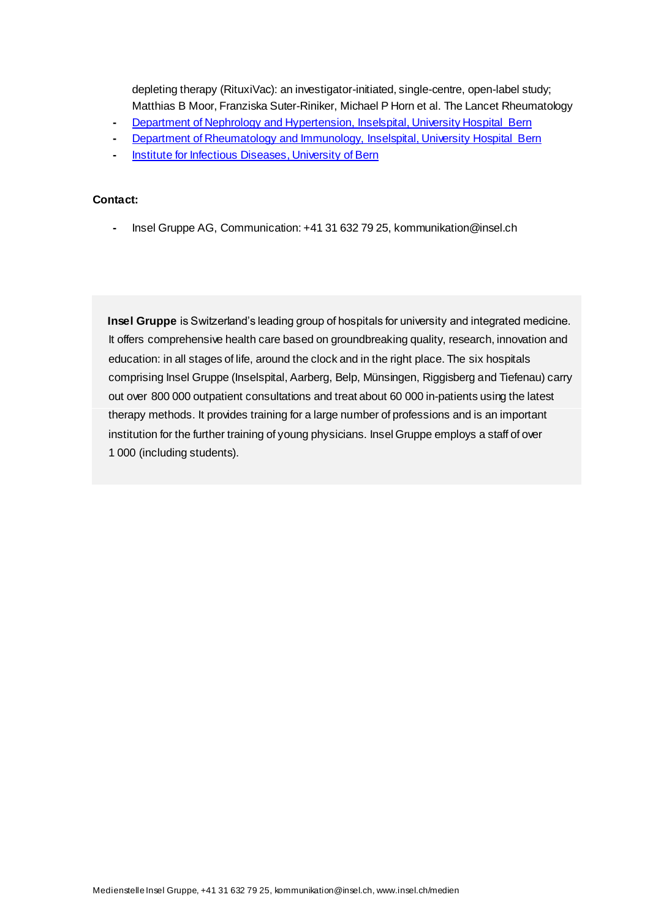depleting therapy (RituxiVac): an investigator-initiated, single-centre, open-label study; Matthias B Moor, Franziska Suter-Riniker, Michael P Horn et al. The Lancet Rheumatology

- **-** Department of Nephrology [and Hypertension, Inselspital, University Hospital Bern](http://www.nephrologie.insel.ch/)
- **-** [Department of Rheumatology and Immunology, Inselspital, University Hospital Bern](http://www.rheumatologie.insel.ch/)
- **-** Institute for [Infectious Diseases, University of Bern](https://www.ifik.unibe.ch/)

#### **Contact:**

**-** Insel Gruppe AG, Communication: +41 31 632 79 25, kommunikation@insel.ch

 **Insel Gruppe** is Switzerland's leading group of hospitals for university and integrated medicine. It offers comprehensive health care based on groundbreaking quality, research, innovation and education: in all stages of life, around the clock and in the right place. The six hospitals comprising Insel Gruppe (Inselspital, Aarberg, Belp, Münsingen, Riggisberg and Tiefenau) carry out over 800 000 outpatient consultations and treat about 60 000 in-patients using the latest therapy methods. It provides training for a large number of professions and is an important institution for the further training of young physicians. Insel Gruppe employs a staff of over 1 000 (including students).